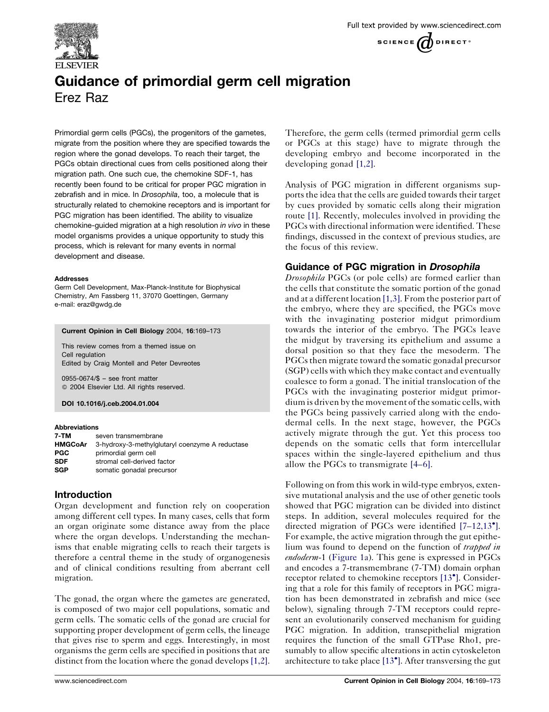

# Guidance of primordial germ cell migration Erez Raz

Primordial germ cells (PGCs), the progenitors of the gametes, migrate from the position where they are specified towards the region where the gonad develops. To reach their target, the PGCs obtain directional cues from cells positioned along their migration path. One such cue, the chemokine SDF-1, has recently been found to be critical for proper PGC migration in zebrafish and in mice. In Drosophila, too, a molecule that is structurally related to chemokine receptors and is important for PGC migration has been identified. The ability to visualize chemokine-guided migration at a high resolution in vivo in these model organisms provides a unique opportunity to study this process, which is relevant for many events in normal development and disease.

#### Addresses

Germ Cell Development, Max-Planck-Institute for Biophysical Chemistry, Am Fassberg 11, 37070 Goettingen, Germany e-mail: eraz@gwdg.de

#### Current Opinion in Cell Biology 2004, 16:169–173

This review comes from a themed issue on Cell regulation Edited by Craig Montell and Peter Devreotes

0955-0674/\$ – see front matter 2004 Elsevier Ltd. All rights reserved.

DOI 10.1016/j.ceb.2004.01.004

#### Abbreviations

| 7-TM           | seven transmembrane                             |
|----------------|-------------------------------------------------|
| <b>HMGCoAr</b> | 3-hydroxy-3-methylglutaryl coenzyme A reductase |
| <b>PGC</b>     | primordial germ cell                            |
| <b>SDF</b>     | stromal cell-derived factor                     |
| <b>SGP</b>     | somatic gonadal precursor                       |

## Introduction

Organ development and function rely on cooperation among different cell types. In many cases, cells that form an organ originate some distance away from the place where the organ develops. Understanding the mechanisms that enable migrating cells to reach their targets is therefore a central theme in the study of organogenesis and of clinical conditions resulting from aberrant cell migration.

The gonad, the organ where the gametes are generated, is composed of two major cell populations, somatic and germ cells. The somatic cells of the gonad are crucial for supporting proper development of germ cells, the lineage that gives rise to sperm and eggs. Interestingly, in most organisms the germ cells are specified in positions that are distinct from the location where the gonad develops [\[1,2\].](#page-3-0) Therefore, the germ cells (termed primordial germ cells or PGCs at this stage) have to migrate through the developing embryo and become incorporated in the developing gonad [\[1,2\].](#page-3-0)

Analysis of PGC migration in different organisms supports the idea that the cells are guided towards their target by cues provided by somatic cells along their migration route [\[1\]](#page-3-0). Recently, molecules involved in providing the PGCs with directional information were identified. These findings, discussed in the context of previous studies, are the focus of this review.

## Guidance of PGC migration in Drosophila

Drosophila PGCs (or pole cells) are formed earlier than the cells that constitute the somatic portion of the gonad and at a different location [\[1,3\]](#page-3-0). From the posterior part of the embryo, where they are specified, the PGCs move with the invaginating posterior midgut primordium towards the interior of the embryo. The PGCs leave the midgut by traversing its epithelium and assume a dorsal position so that they face the mesoderm. The PGCs then migrate toward the somatic gonadal precursor (SGP) cells with which they make contact and eventually coalesce to form a gonad. The initial translocation of the PGCs with the invaginating posterior midgut primordium is driven by the movement of the somatic cells, with the PGCs being passively carried along with the endodermal cells. In the next stage, however, the PGCs actively migrate through the gut. Yet this process too depends on the somatic cells that form intercellular spaces within the single-layered epithelium and thus allow the PGCs to transmigrate [\[4–6\]](#page-3-0).

Following on from this work in wild-type embryos, extensive mutational analysis and the use of other genetic tools showed that PGC migration can be divided into distinct steps. In addition, several molecules required for the directed migration of PGCs were identified [7-12,13<sup>°</sup>[\].](#page-3-0) For example, the active migration through the gut epithelium was found to depend on the function of *trapped in* endoderm-1 [\(Figure 1a](#page-1-0)). This gene is expressed in PGCs and encodes a 7-transmembrane (7-TM) domain orphan receptor related to chemokine receptors [\[13](#page-3-0)<sup>°</sup>[\].](#page-3-0) Considering that a role for this family of receptors in PGC migration has been demonstrated in zebrafish and mice (see below), signaling through 7-TM receptors could represent an evolutionarily conserved mechanism for guiding PGC migration. In addition, transepithelial migration requires the function of the small GTPase Rho1, presumably to allow specific alterations in actin cytoskeleton architecture to take place [\[13](#page-3-0) [\].](#page-3-0) After transversing the gut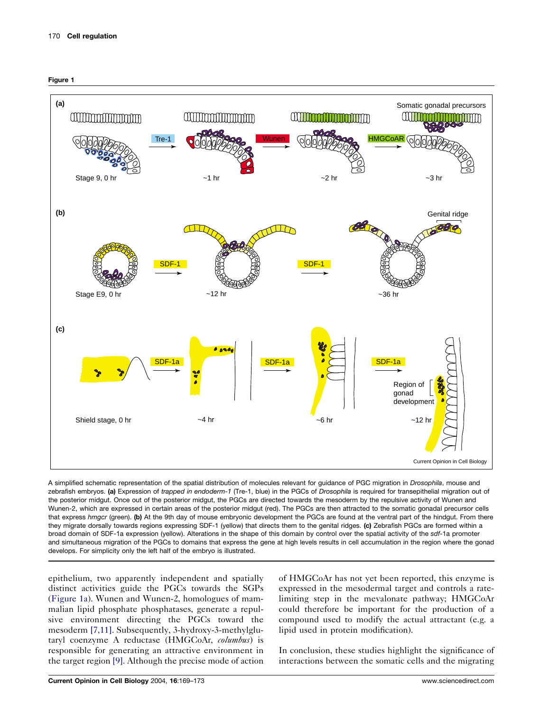<span id="page-1-0"></span>



A simplified schematic representation of the spatial distribution of molecules relevant for guidance of PGC migration in Drosophila, mouse and zebrafish embryos. (a) Expression of trapped in endoderm-1 (Tre-1, blue) in the PGCs of Drosophila is required for transepithelial migration out of the posterior midgut. Once out of the posterior midgut, the PGCs are directed towards the mesoderm by the repulsive activity of Wunen and Wunen-2, which are expressed in certain areas of the posterior midgut (red). The PGCs are then attracted to the somatic gonadal precursor cells that express hmgcr (green). (b) At the 9th day of mouse embryonic development the PGCs are found at the ventral part of the hindgut. From there they migrate dorsally towards regions expressing SDF-1 (yellow) that directs them to the genital ridges. (c) Zebrafish PGCs are formed within a broad domain of SDF-1a expression (yellow). Alterations in the shape of this domain by control over the spatial activity of the sdf-1a promoter and simultaneous migration of the PGCs to domains that express the gene at high levels results in cell accumulation in the region where the gonad develops. For simplicity only the left half of the embryo is illustrated.

epithelium, two apparently independent and spatially distinct activities guide the PGCs towards the SGPs (Figure 1a). Wunen and Wunen-2, homologues of mammalian lipid phosphate phosphatases, generate a repulsive environment directing the PGCs toward the mesoderm [\[7,11\].](#page-3-0) Subsequently, 3-hydroxy-3-methylglutaryl coenzyme A reductase (HMGCoAr, columbus) is responsible for generating an attractive environment in the target region [\[9\]](#page-3-0). Although the precise mode of action

of HMGCoAr has not yet been reported, this enzyme is expressed in the mesodermal target and controls a ratelimiting step in the mevalonate pathway; HMGCoAr could therefore be important for the production of a compound used to modify the actual attractant (e.g. a lipid used in protein modification).

In conclusion, these studies highlight the significance of interactions between the somatic cells and the migrating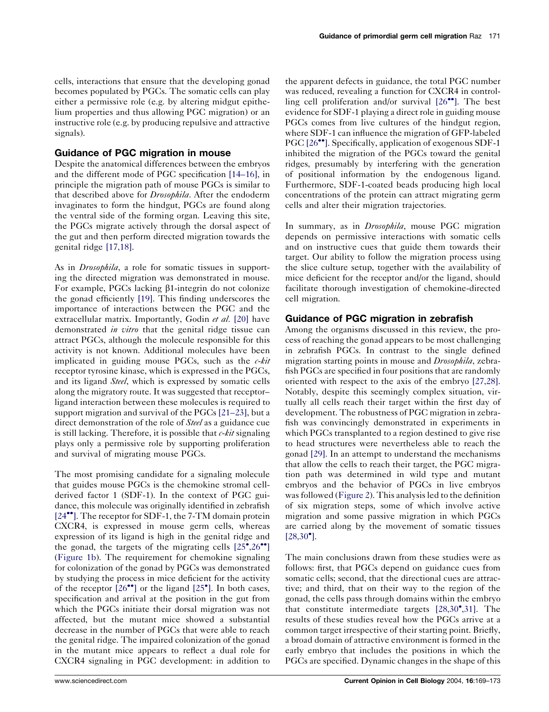cells, interactions that ensure that the developing gonad becomes populated by PGCs. The somatic cells can play either a permissive role (e.g. by altering midgut epithelium properties and thus allowing PGC migration) or an instructive role (e.g. by producing repulsive and attractive signals).

## Guidance of PGC migration in mouse

Despite the anatomical differences between the embryos and the different mode of PGC specification [\[14–16\]](#page-3-0), in principle the migration path of mouse PGCs is similar to that described above for *Drosophila*. After the endoderm invaginates to form the hindgut, PGCs are found along the ventral side of the forming organ. Leaving this site, the PGCs migrate actively through the dorsal aspect of the gut and then perform directed migration towards the genital ridge [\[17,18\]](#page-4-0).

As in *Drosophila*, a role for somatic tissues in supporting the directed migration was demonstrated in mouse. For example, PGCs lacking  $\beta$ 1-integrin do not colonize the gonad efficiently [\[19\]](#page-4-0). This finding underscores the importance of interactions between the PGC and the extracellular matrix. Importantly, Godin et al. [\[20\]](#page-4-0) have demonstrated *in vitro* that the genital ridge tissue can attract PGCs, although the molecule responsible for this activity is not known. Additional molecules have been implicated in guiding mouse PGCs, such as the  $c$ -kit receptor tyrosine kinase, which is expressed in the PGCs, and its ligand *Steel*, which is expressed by somatic cells along the migratory route. It was suggested that receptor– ligand interaction between these molecules is required to support migration and survival of the PGCs [\[21–23\],](#page-4-0) but a direct demonstration of the role of *Steel* as a guidance cue is still lacking. Therefore, it is possible that  $c$ -kit signaling plays only a permissive role by supporting proliferation and survival of migrating mouse PGCs.

The most promising candidate for a signaling molecule that guides mouse PGCs is the chemokine stromal cellderived factor 1 (SDF-1). In the context of PGC guidance, this molecule was originally identified in zebrafish  $[24\bullet\bullet]$  $[24\bullet\bullet]$  $[24\bullet\bullet]$ . The receptor for SDF-1, the 7-TM domain protein CXCR4, is expressed in mouse germ cells, whereas expression of its ligand is high in the genital ridge and the gonad, the targets of the migrating cells  $[25^{\bullet}, 26^{\bullet\bullet}]$  $[25^{\bullet}, 26^{\bullet\bullet}]$  $[25^{\bullet}, 26^{\bullet\bullet}]$ [\(Figure 1b](#page-1-0)). The requirement for chemokine signaling for colonization of the gonad by PGCs was demonstrated by studying the process in mice deficient for the activity of the receptor  $[26$ <sup>\*</sup>[\]](#page-4-0) or the ligand  $[25$ <sup>\*</sup>]. In both cases, specification and arrival at the position in the gut from which the PGCs initiate their dorsal migration was not affected, but the mutant mice showed a substantial decrease in the number of PGCs that were able to reach the genital ridge. The impaired colonization of the gonad in the mutant mice appears to reflect a dual role for CXCR4 signaling in PGC development: in addition to

the apparent defects in guidance, the total PGC number was reduced, revealing a function for CXCR4 in controlling cell proliferation and/or survival  $[26$ <sup> $\bullet$ </sup>[\].](#page-4-0) The best evidence for SDF-1 playing a direct role in guiding mouse PGCs comes from live cultures of the hindgut region, where SDF-1 can influence the migration of GFP-labeled PGC [\[26](#page-4-0)<sup>••</sup>[\].](#page-4-0) Specifically, application of exogenous SDF-1 inhibited the migration of the PGCs toward the genital ridges, presumably by interfering with the generation of positional information by the endogenous ligand. Furthermore, SDF-1-coated beads producing high local concentrations of the protein can attract migrating germ cells and alter their migration trajectories.

In summary, as in *Drosophila*, mouse PGC migration depends on permissive interactions with somatic cells and on instructive cues that guide them towards their target. Our ability to follow the migration process using the slice culture setup, together with the availability of mice deficient for the receptor and/or the ligand, should facilitate thorough investigation of chemokine-directed cell migration.

# Guidance of PGC migration in zebrafish

Among the organisms discussed in this review, the process of reaching the gonad appears to be most challenging in zebrafish PGCs. In contrast to the single defined migration starting points in mouse and *Drosophila*, zebrafish PGCs are specified in four positions that are randomly oriented with respect to the axis of the embryo [\[27,28\].](#page-4-0) Notably, despite this seemingly complex situation, virtually all cells reach their target within the first day of development. The robustness of PGC migration in zebrafish was convincingly demonstrated in experiments in which PGCs transplanted to a region destined to give rise to head structures were nevertheless able to reach the gonad [\[29\].](#page-4-0) In an attempt to understand the mechanisms that allow the cells to reach their target, the PGC migration path was determined in wild type and mutant embryos and the behavior of PGCs in live embryos was followed [\(Figure 2](#page-3-0)). This analysis led to the definition of six migration steps, some of which involve active migration and some passive migration in which PGCs are carried along by the movement of somatic tissues  $[28,30^{\circ}].$  $[28,30^{\circ}].$  $[28,30^{\circ}].$  $[28,30^{\circ}].$ 

The main conclusions drawn from these studies were as follows: first, that PGCs depend on guidance cues from somatic cells; second, that the directional cues are attractive; and third, that on their way to the region of the gonad, the cells pass through domains within the embryo that constitute intermediate targets [\[28,30](#page-4-0) [,31\]](#page-4-0). The results of these studies reveal how the PGCs arrive at a common target irrespective of their starting point. Briefly, a broad domain of attractive environment is formed in the early embryo that includes the positions in which the PGCs are specified. Dynamic changes in the shape of this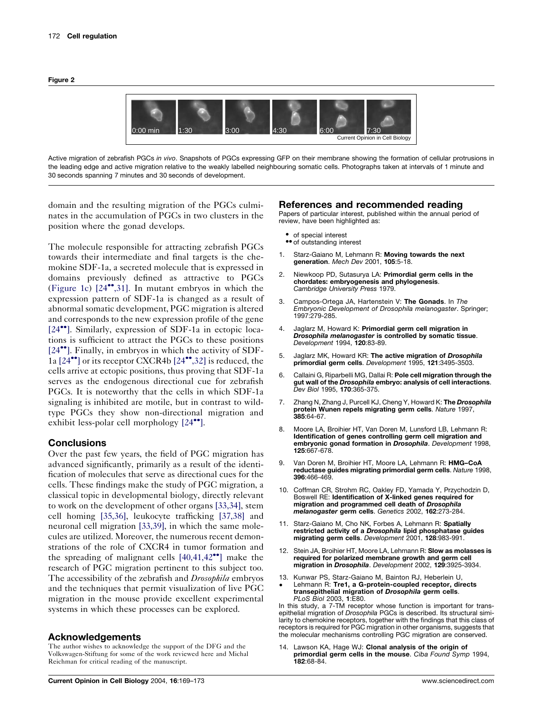<span id="page-3-0"></span>

Active migration of zebrafish PGCs in vivo. Snapshots of PGCs expressing GFP on their membrane showing the formation of cellular protrusions in the leading edge and active migration relative to the weakly labelled neighbouring somatic cells. Photographs taken at intervals of 1 minute and 30 seconds spanning 7 minutes and 30 seconds of development.

domain and the resulting migration of the PGCs culminates in the accumulation of PGCs in two clusters in the position where the gonad develops.

The molecule responsible for attracting zebrafish PGCs towards their intermediate and final targets is the chemokine SDF-1a, a secreted molecule that is expressed in domains previously defined as attractive to PGCs [\(Figure 1c](#page-1-0))  $[24^{\bullet\bullet},31]$  $[24^{\bullet\bullet},31]$  $[24^{\bullet\bullet},31]$ . In mutant embryos in which the expression pattern of SDF-1a is changed as a result of abnormal somatic development, PGC migration is altered and corresponds to the new expression profile of the gene  $[24$ <sup> $\bullet$ </sup>[\].](#page-4-0) Similarly, expression of SDF-1a in ectopic locations is sufficient to attract the PGCs to these positions  $[24\bullet\bullet]$  $[24\bullet\bullet]$ . Finally, in embryos in which the activity of SDF-1a  $[24\bullet\bullet]$  $[24\bullet\bullet]$  $[24\bullet\bullet]$  or its receptor CXCR4b  $[24\bullet\bullet]$ , 32] is reduced, the cells arrive at ectopic positions, thus proving that SDF-1a serves as the endogenous directional cue for zebrafish PGCs. It is noteworthy that the cells in which SDF-1a signaling is inhibited are motile, but in contrast to wildtype PGCs they show non-directional migration and exhibit less-polar cell morphology  $[24$ <sup> $\bullet$  $]$ </sup>.

### **Conclusions**

Over the past few years, the field of PGC migration has advanced significantly, primarily as a result of the identification of molecules that serve as directional cues for the cells. These findings make the study of PGC migration, a classical topic in developmental biology, directly relevant to work on the development of other organs [\[33,34\],](#page-4-0) stem cell homing [\[35,36\],](#page-4-0) leukocyte trafficking [\[37,38\]](#page-4-0) and neuronal cell migration [\[33,39\]](#page-4-0), in which the same molecules are utilized. Moreover, the numerous recent demonstrations of the role of CXCR4 in tumor formation and the spreading of malignant cells  $[40.41.42$ <sup> $\bullet$ </sup> make the research of PGC migration pertinent to this subject too. The accessibility of the zebrafish and *Drosophila* embryos and the techniques that permit visualization of live PGC migration in the mouse provide excellent experimental systems in which these processes can be explored.

#### **Acknowledgements**

The author wishes to acknowledge the support of the DFG and the Volkswagen-Stiftung for some of the work reviewed here and Michal Reichman for critical reading of the manuscript.

#### References and recommended reading

Papers of particular interest, published within the annual period of review, have been highlighted as:

- of special interest<br>•• of outstanding interest
- 1. Starz-Gaiano M, Lehmann R: Moving towards the next generation. Mech Dev 2001, 105:5-18.
- 2. Niewkoop PD, Sutasurya LA: Primordial germ cells in the chordates: embryogenesis and phylogenesis. Cambridge University Press 1979.
- Campos-Ortega JA, Hartenstein V: The Gonads. In The Embryonic Development of Drosophila melanogaster. Springer; 1997:279-285.
- 4. Jaglarz M, Howard K: Primordial germ cell migration in Drosophila melanogaster is controlled by somatic tissue. Development 1994, 120:83-89.
- 5. Jaglarz MK, Howard KR: The active migration of Drosophila primordial germ cells. Development 1995, 121:3495-3503.
- 6. Callaini G, Riparbelli MG, Dallai R: Pole cell migration through the gut wall of the Drosophila embryo: analysis of cell interactions. Dev Biol 1995, 170:365-375.
- 7. Zhang N, Zhang J, Purcell KJ, Cheng Y, Howard K: The Drosophila protein Wunen repels migrating germ cells. Nature 1997, 385:64-67.
- 8. Moore LA, Broihier HT, Van Doren M, Lunsford LB, Lehmann R: Identification of genes controlling germ cell migration and embryonic gonad formation in Drosophila. Development 1998, 125:667-678.
- 9. Van Doren M, Broihier HT, Moore LA, Lehmann R: HMG-CoA reductase guides migrating primordial germ cells. Nature 1998, 396:466-469.
- 10. Coffman CR, Strohm RC, Oakley FD, Yamada Y, Przychodzin D, Boswell RE: Identification of X-linked genes required for migration and programmed cell death of Drosophila melanogaster germ cells. Genetics 2002, 162:273-284.
- 11. Starz-Gaiano M, Cho NK, Forbes A, Lehmann R: Spatially restricted activity of a Drosophila lipid phosphatase guides migrating germ cells. Development 2001, 128:983-991.
- 12. Stein JA, Broihier HT, Moore LA, Lehmann R: Slow as molasses is required for polarized membrane growth and germ cell migration in Drosophila. Development 2002, 129:3925-3934.
- 13. Kunwar PS, Starz-Gaiano M, Bainton RJ, Heberlein U,
- $\bullet$ Lehmann R: Tre1, a G-protein-coupled receptor, directs transepithelial migration of Drosophila germ cells. PLoS Biol 2003, 1:E80.

In this study, a 7-TM receptor whose function is important for transepithelial migration of Drosophila PGCs is described. Its structural similarity to chemokine receptors, together with the findings that this class of receptors is required for PGC migration in other organisms, suggests that the molecular mechanisms controlling PGC migration are conserved.

14. Lawson KA, Hage WJ: Clonal analysis of the origin of primordial germ cells in the mouse. Ciba Found Symp 1994, 182:68-84.